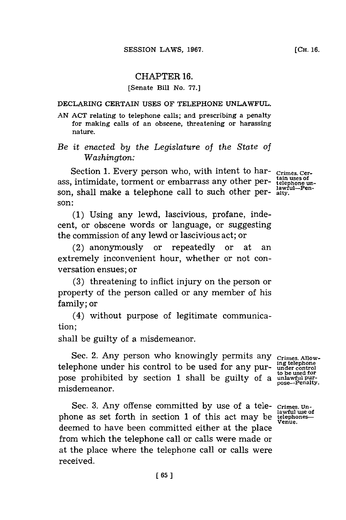# CHAPTER **16.**

## [Senate Bill No. 77.]

#### DECLARING CERTAIN **USES** OF **TELEPHONE UNLAWFUL.**

**AN ACT** relating to telephone calls; and prescribing a penalty for making calls of an obscene, threatening or harassing nature.

*Be it enacted* **by** *the Legislature of the State of Washington:*

Section 1. Every person who, with intent to har- **Crimes. Cerass**, intimidate, torment or embarrass any other per-<br>
<sup>tain uses of</sup> son, shall make a telephone call to such other person:

**(1)** Using any lewd, lascivious, profane, indecent, or obscene words or language, or suggesting the commission of any lewd or lascivious act; or

(2) anonymously or repeatedly or at an extremely inconvenient hour, whether or not conversation ensues; or

**(3)** threatening to inflict injury on the person or property of the person called or any member of his family; or

(4) without purpose of legitimate communication;

shall be guilty of a misdemeanor.

Sec. 2. Any person who knowingly permits any <sub>Crimes</sub> Allow**igtelephone** telephone under his control to be used for any pur- **under control** pose prohibited **by** section **1** shall be guilty of a **unlawful pur**misdemeanor.

Sec. 3. Any offense committed by use of a tele-crimes. Un-<br>lawful use of phone as set forth in section 1 of this act may be **telephones-**<br>venue. deemed to have been committed either at the place from which the telephone call or calls were made or at the place where the telephone call or calls were received.

**to be used for**

**lawful-Pen-**